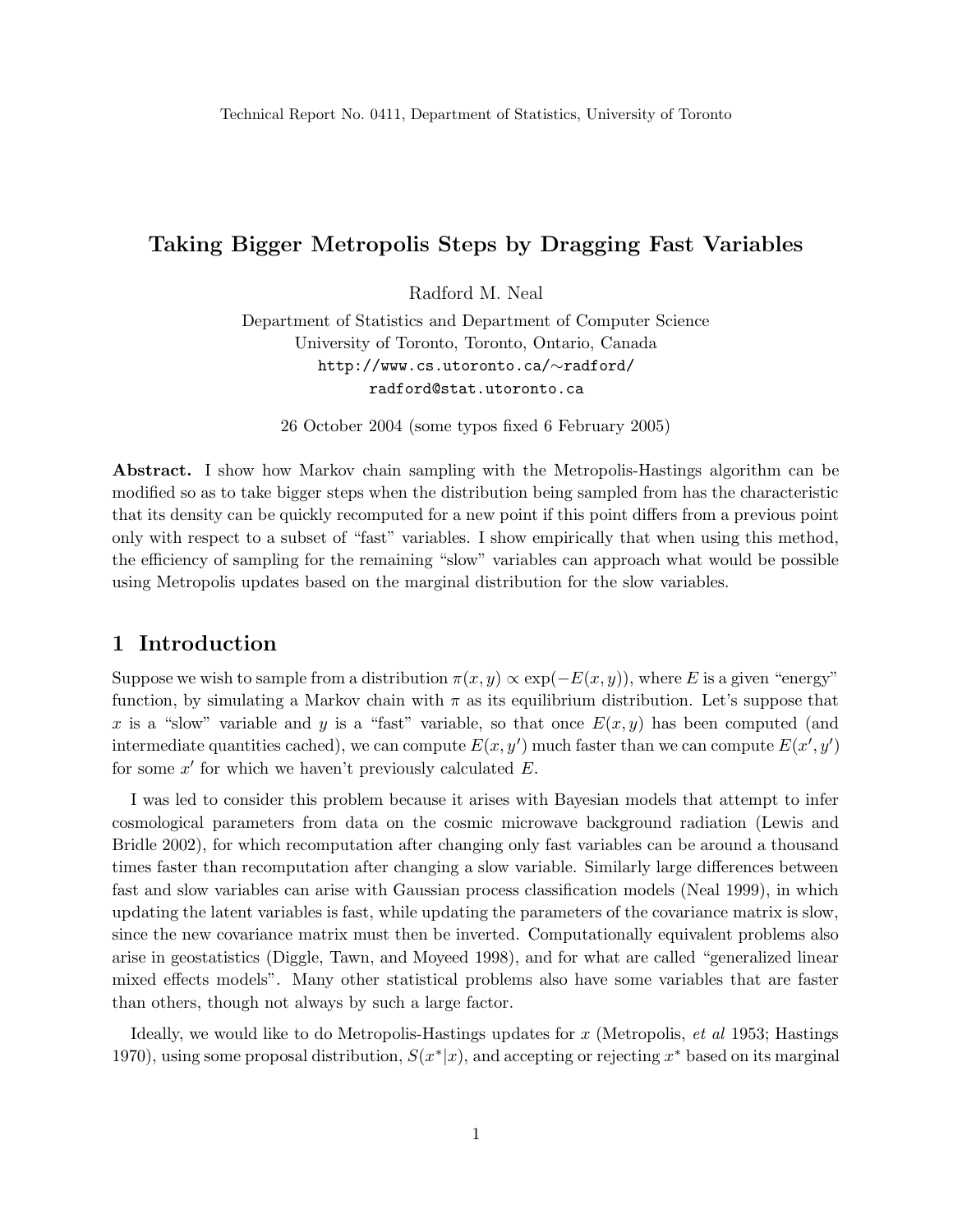## Taking Bigger Metropolis Steps by Dragging Fast Variables

Radford M. Neal

Department of Statistics and Department of Computer Science University of Toronto, Toronto, Ontario, Canada http://www.cs.utoronto.ca/∼radford/ radford@stat.utoronto.ca

26 October 2004 (some typos fixed 6 February 2005)

Abstract. I show how Markov chain sampling with the Metropolis-Hastings algorithm can be modified so as to take bigger steps when the distribution being sampled from has the characteristic that its density can be quickly recomputed for a new point if this point differs from a previous point only with respect to a subset of "fast" variables. I show empirically that when using this method, the efficiency of sampling for the remaining "slow" variables can approach what would be possible using Metropolis updates based on the marginal distribution for the slow variables.

## 1 Introduction

Suppose we wish to sample from a distribution  $\pi(x, y) \propto \exp(-E(x, y))$ , where E is a given "energy" function, by simulating a Markov chain with  $\pi$  as its equilibrium distribution. Let's suppose that x is a "slow" variable and y is a "fast" variable, so that once  $E(x, y)$  has been computed (and intermediate quantities cached), we can compute  $E(x, y')$  much faster than we can compute  $E(x', y')$ for some  $x'$  for which we haven't previously calculated  $E$ .

I was led to consider this problem because it arises with Bayesian models that attempt to infer cosmological parameters from data on the cosmic microwave background radiation (Lewis and Bridle 2002), for which recomputation after changing only fast variables can be around a thousand times faster than recomputation after changing a slow variable. Similarly large differences between fast and slow variables can arise with Gaussian process classification models (Neal 1999), in which updating the latent variables is fast, while updating the parameters of the covariance matrix is slow, since the new covariance matrix must then be inverted. Computationally equivalent problems also arise in geostatistics (Diggle, Tawn, and Moyeed 1998), and for what are called "generalized linear mixed effects models". Many other statistical problems also have some variables that are faster than others, though not always by such a large factor.

Ideally, we would like to do Metropolis-Hastings updates for  $x$  (Metropolis, *et al* 1953; Hastings 1970), using some proposal distribution,  $S(x^*|x)$ , and accepting or rejecting  $x^*$  based on its marginal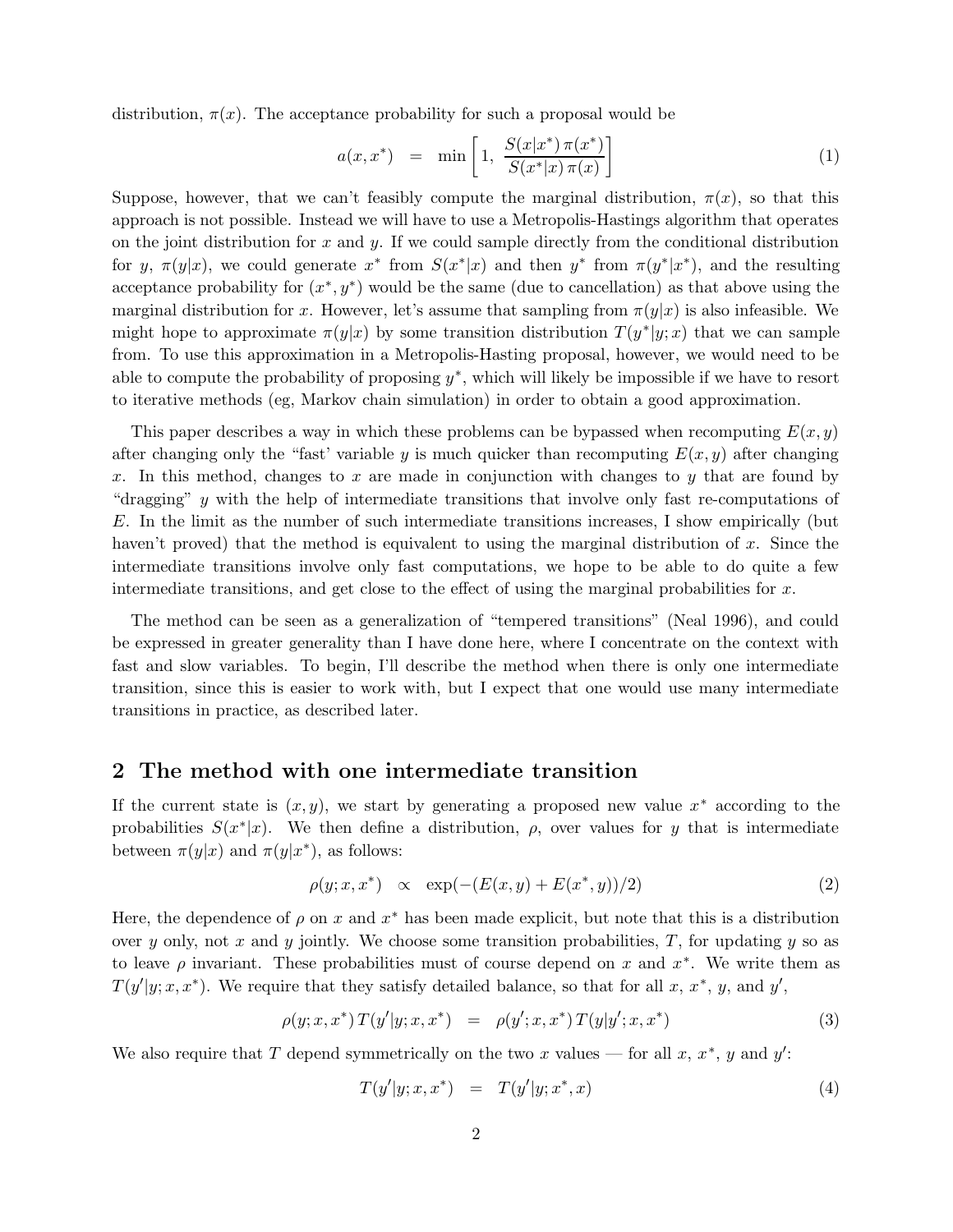distribution,  $\pi(x)$ . The acceptance probability for such a proposal would be

$$
a(x, x^*) = \min\left[1, \frac{S(x|x^*) \pi(x^*)}{S(x^*|x) \pi(x)}\right]
$$
 (1)

Suppose, however, that we can't feasibly compute the marginal distribution,  $\pi(x)$ , so that this approach is not possible. Instead we will have to use a Metropolis-Hastings algorithm that operates on the joint distribution for x and y. If we could sample directly from the conditional distribution for y,  $\pi(y|x)$ , we could generate  $x^*$  from  $S(x^*|x)$  and then  $y^*$  from  $\pi(y^*|x^*)$ , and the resulting acceptance probability for  $(x^*, y^*)$  would be the same (due to cancellation) as that above using the marginal distribution for x. However, let's assume that sampling from  $\pi(y|x)$  is also infeasible. We might hope to approximate  $\pi(y|x)$  by some transition distribution  $T(y^*|y;x)$  that we can sample from. To use this approximation in a Metropolis-Hasting proposal, however, we would need to be able to compute the probability of proposing  $y^*$ , which will likely be impossible if we have to resort to iterative methods (eg, Markov chain simulation) in order to obtain a good approximation.

This paper describes a way in which these problems can be bypassed when recomputing  $E(x, y)$ after changing only the "fast' variable y is much quicker than recomputing  $E(x, y)$  after changing x. In this method, changes to x are made in conjunction with changes to y that are found by "dragging" y with the help of intermediate transitions that involve only fast re-computations of E. In the limit as the number of such intermediate transitions increases, I show empirically (but haven't proved) that the method is equivalent to using the marginal distribution of x. Since the intermediate transitions involve only fast computations, we hope to be able to do quite a few intermediate transitions, and get close to the effect of using the marginal probabilities for  $x$ .

The method can be seen as a generalization of "tempered transitions" (Neal 1996), and could be expressed in greater generality than I have done here, where I concentrate on the context with fast and slow variables. To begin, I'll describe the method when there is only one intermediate transition, since this is easier to work with, but I expect that one would use many intermediate transitions in practice, as described later.

#### 2 The method with one intermediate transition

If the current state is  $(x, y)$ , we start by generating a proposed new value  $x^*$  according to the probabilities  $S(x^*|x)$ . We then define a distribution,  $\rho$ , over values for y that is intermediate between  $\pi(y|x)$  and  $\pi(y|x^*)$ , as follows:

$$
\rho(y; x, x^*) \propto \exp(-(E(x, y) + E(x^*, y))/2) \tag{2}
$$

Here, the dependence of  $\rho$  on x and  $x^*$  has been made explicit, but note that this is a distribution over y only, not x and y jointly. We choose some transition probabilities,  $T$ , for updating y so as to leave  $\rho$  invariant. These probabilities must of course depend on x and  $x^*$ . We write them as  $T(y'|y; x, x^*)$ . We require that they satisfy detailed balance, so that for all x, x<sup>\*</sup>, y, and y',

$$
\rho(y; x, x^*) T(y'|y; x, x^*) = \rho(y'; x, x^*) T(y|y'; x, x^*)
$$
\n(3)

We also require that T depend symmetrically on the two x values — for all  $x, x^*$ , y and y':

$$
T(y'|y;x,x^*) = T(y'|y;x^*,x)
$$
\n(4)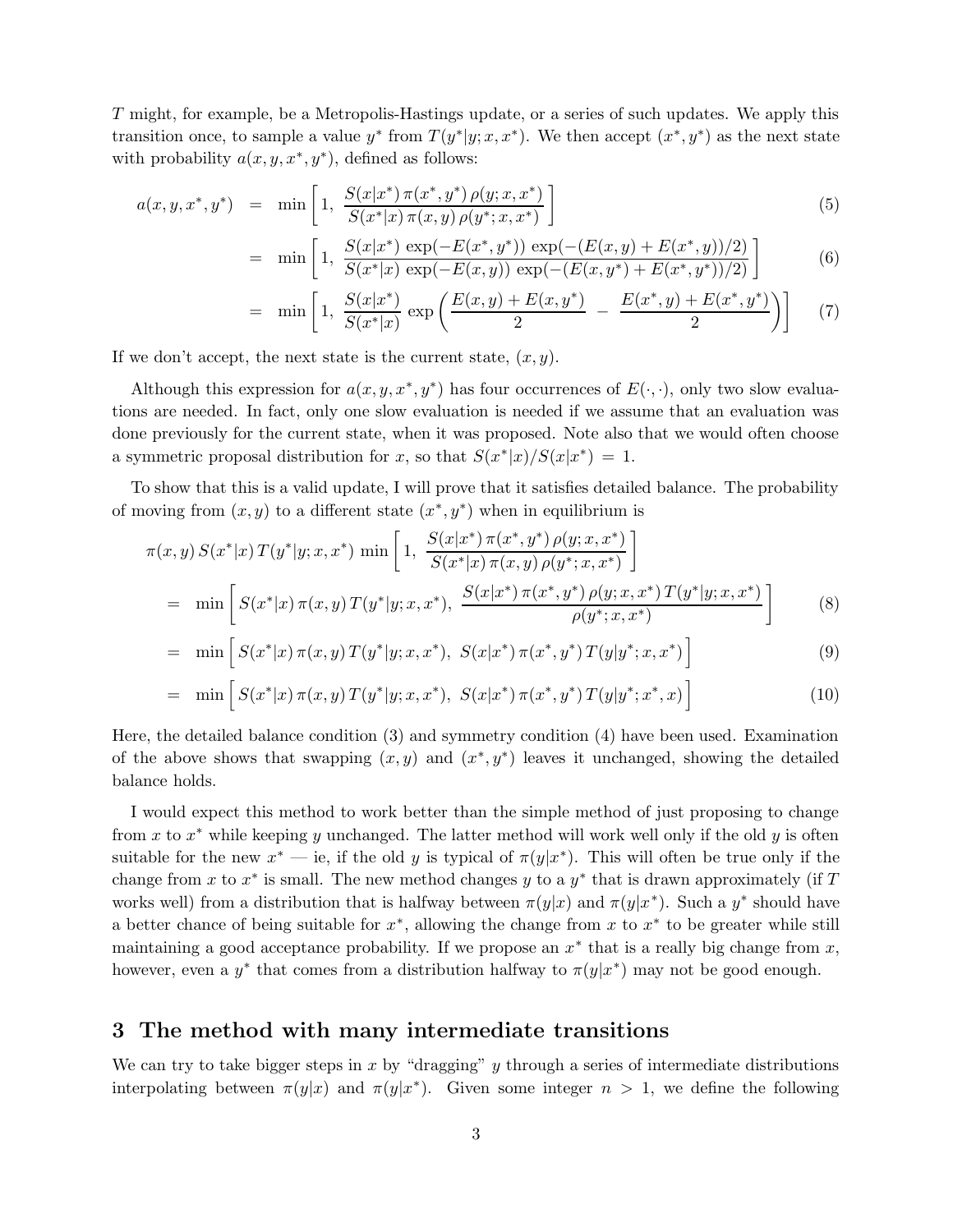T might, for example, be a Metropolis-Hastings update, or a series of such updates. We apply this transition once, to sample a value  $y^*$  from  $T(y^*|y; x, x^*)$ . We then accept  $(x^*, y^*)$  as the next state with probability  $a(x, y, x^*, y^*)$ , defined as follows:

$$
a(x, y, x^*, y^*) = \min\left[1, \frac{S(x|x^*) \pi(x^*, y^*) \rho(y; x, x^*)}{S(x^*|x) \pi(x, y) \rho(y^*; x, x^*)}\right]
$$
(5)

$$
= \min\left[1, \frac{S(x|x^*)\exp(-E(x^*,y^*))\exp(-(E(x,y)+E(x^*,y))/2)}{S(x^*|x)\exp(-E(x,y))\exp(-(E(x,y^*)+E(x^*,y^*))/2)}\right]
$$
(6)

$$
= \min\left[1, \frac{S(x|x^*)}{S(x^*|x)} \exp\left(\frac{E(x,y) + E(x,y^*)}{2} - \frac{E(x^*,y) + E(x^*,y^*)}{2}\right)\right] \tag{7}
$$

If we don't accept, the next state is the current state,  $(x, y)$ .

Although this expression for  $a(x, y, x^*, y^*)$  has four occurrences of  $E(\cdot, \cdot)$ , only two slow evaluations are needed. In fact, only one slow evaluation is needed if we assume that an evaluation was done previously for the current state, when it was proposed. Note also that we would often choose a symmetric proposal distribution for x, so that  $S(x^*|x)/S(x|x^*) = 1$ .

To show that this is a valid update, I will prove that it satisfies detailed balance. The probability of moving from  $(x, y)$  to a different state  $(x^*, y^*)$  when in equilibrium is

$$
\pi(x,y) S(x^*|x) T(y^*|y;x,x^*) \min\left[1, \frac{S(x|x^*) \pi(x^*,y^*) \rho(y;x,x^*)}{S(x^*|x) \pi(x,y) \rho(y^*;x,x^*)}\right]
$$
\n
$$
= \min\left[S(x^*|x) \pi(x,y) T(y^*|y;x,x^*), \frac{S(x|x^*) \pi(x^*,y^*) \rho(y;x,x^*) T(y^*|y;x,x^*)}{\rho(y^*;x,x^*)}\right] \tag{8}
$$

$$
= \min \left[ S(x^*|x) \, \pi(x,y) \, T(y^*|y;x,x^*), \, S(x|x^*) \, \pi(x^*,y^*) \, T(y|y^*;x,x^*) \right] \tag{9}
$$

$$
= \min \left[ S(x^*|x) \pi(x, y) T(y^*|y; x, x^*), S(x|x^*) \pi(x^*, y^*) T(y|y^*; x^*, x) \right]
$$
(10)

Here, the detailed balance condition (3) and symmetry condition (4) have been used. Examination of the above shows that swapping  $(x, y)$  and  $(x^*, y^*)$  leaves it unchanged, showing the detailed balance holds.

I would expect this method to work better than the simple method of just proposing to change from x to  $x^*$  while keeping y unchanged. The latter method will work well only if the old y is often suitable for the new  $x^*$  — ie, if the old y is typical of  $\pi(y|x^*)$ . This will often be true only if the change from x to  $x^*$  is small. The new method changes y to a  $y^*$  that is drawn approximately (if T works well) from a distribution that is halfway between  $\pi(y|x)$  and  $\pi(y|x^*)$ . Such a  $y^*$  should have a better chance of being suitable for  $x^*$ , allowing the change from x to  $x^*$  to be greater while still maintaining a good acceptance probability. If we propose an  $x^*$  that is a really big change from  $x$ , however, even a  $y^*$  that comes from a distribution halfway to  $\pi(y|x^*)$  may not be good enough.

### 3 The method with many intermediate transitions

We can try to take bigger steps in x by "dragging" y through a series of intermediate distributions interpolating between  $\pi(y|x)$  and  $\pi(y|x^*)$ . Given some integer  $n > 1$ , we define the following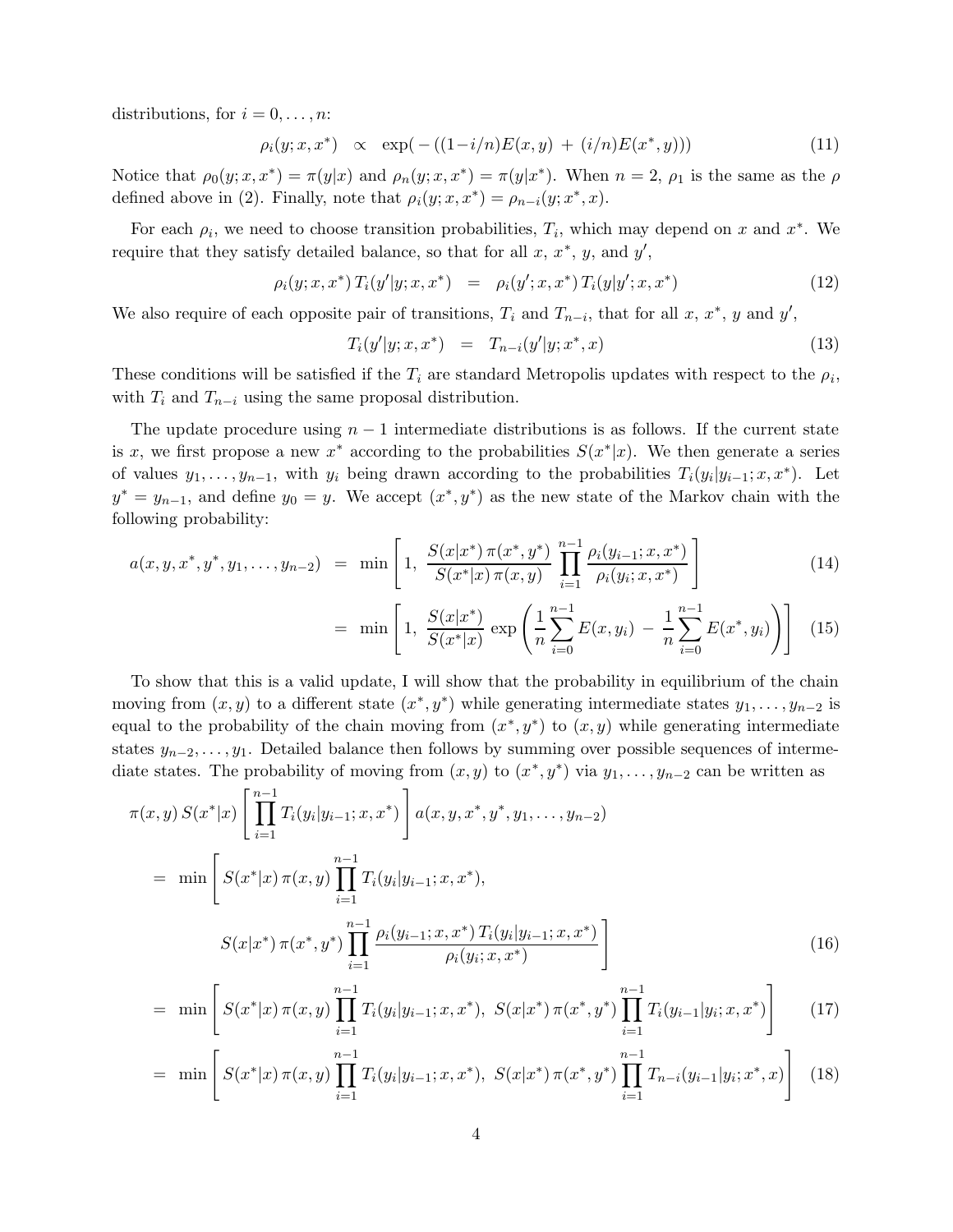distributions, for  $i = 0, \ldots, n$ :

$$
\rho_i(y; x, x^*) \propto \exp(-( (1 - i/n)E(x, y) + (i/n)E(x^*, y))) \tag{11}
$$

Notice that  $\rho_0(y; x, x^*) = \pi(y|x)$  and  $\rho_n(y; x, x^*) = \pi(y|x^*)$ . When  $n = 2$ ,  $\rho_1$  is the same as the  $\rho$ defined above in (2). Finally, note that  $\rho_i(y; x, x^*) = \rho_{n-i}(y; x^*, x)$ .

For each  $\rho_i$ , we need to choose transition probabilities,  $T_i$ , which may depend on x and  $x^*$ . We require that they satisfy detailed balance, so that for all  $x, x^*, y$ , and  $y'$ ,

$$
\rho_i(y; x, x^*) T_i(y'|y; x, x^*) = \rho_i(y'; x, x^*) T_i(y|y'; x, x^*)
$$
\n(12)

We also require of each opposite pair of transitions,  $T_i$  and  $T_{n-i}$ , that for all x, x<sup>\*</sup>, y and y',

$$
T_i(y'|y;x,x^*) = T_{n-i}(y'|y;x^*,x)
$$
\n(13)

These conditions will be satisfied if the  $T_i$  are standard Metropolis updates with respect to the  $\rho_i$ , with  $T_i$  and  $T_{n-i}$  using the same proposal distribution.

The update procedure using  $n-1$  intermediate distributions is as follows. If the current state is x, we first propose a new  $x^*$  according to the probabilities  $S(x^*|x)$ . We then generate a series of values  $y_1, \ldots, y_{n-1}$ , with  $y_i$  being drawn according to the probabilities  $T_i(y_i|y_{i-1}; x, x^*)$ . Let  $y^* = y_{n-1}$ , and define  $y_0 = y$ . We accept  $(x^*, y^*)$  as the new state of the Markov chain with the following probability:

$$
a(x, y, x^*, y^*, y_1, \dots, y_{n-2}) = \min\left[1, \frac{S(x|x^*) \pi(x^*, y^*)}{S(x^*|x) \pi(x, y)} \prod_{i=1}^{n-1} \frac{\rho_i(y_{i-1}; x, x^*)}{\rho_i(y_i; x, x^*)}\right]
$$
(14)

$$
= \min \left[ 1, \frac{S(x|x^*)}{S(x^*|x)} \exp \left( \frac{1}{n} \sum_{i=0}^{n-1} E(x, y_i) - \frac{1}{n} \sum_{i=0}^{n-1} E(x^*, y_i) \right) \right] (15)
$$

To show that this is a valid update, I will show that the probability in equilibrium of the chain moving from  $(x, y)$  to a different state  $(x^*, y^*)$  while generating intermediate states  $y_1, \ldots, y_{n-2}$  is equal to the probability of the chain moving from  $(x^*, y^*)$  to  $(x, y)$  while generating intermediate states  $y_{n-2}, \ldots, y_1$ . Detailed balance then follows by summing over possible sequences of intermediate states. The probability of moving from  $(x, y)$  to  $(x^*, y^*)$  via  $y_1, \ldots, y_{n-2}$  can be written as

$$
\pi(x,y) S(x^*|x) \left[ \prod_{i=1}^{n-1} T_i(y_i|y_{i-1};x,x^*) \right] a(x,y,x^*,y^*,y_1,\ldots,y_{n-2})
$$
  
\n
$$
= \min \left[ S(x^*|x) \pi(x,y) \prod_{i=1}^{n-1} T_i(y_i|y_{i-1};x,x^*),
$$
  
\n
$$
S(x|x^*) \pi(x^*,y^*) \prod_{i=1}^{n-1} \frac{\rho_i(y_{i-1};x,x^*) T_i(y_i|y_{i-1};x,x^*)}{\rho_i(y_i;x,x^*)} \right]
$$
\n(16)

$$
= \min \left[ S(x^*|x) \pi(x, y) \prod_{i=1}^{n-1} T_i(y_i|y_{i-1}; x, x^*), S(x|x^*) \pi(x^*, y^*) \prod_{i=1}^{n-1} T_i(y_{i-1}|y_i; x, x^*) \right] \tag{17}
$$

$$
= \min \left[ S(x^*|x) \pi(x, y) \prod_{i=1}^{n-1} T_i(y_i|y_{i-1}; x, x^*), S(x|x^*) \pi(x^*, y^*) \prod_{i=1}^{n-1} T_{n-i}(y_{i-1}|y_i; x^*, x) \right] \tag{18}
$$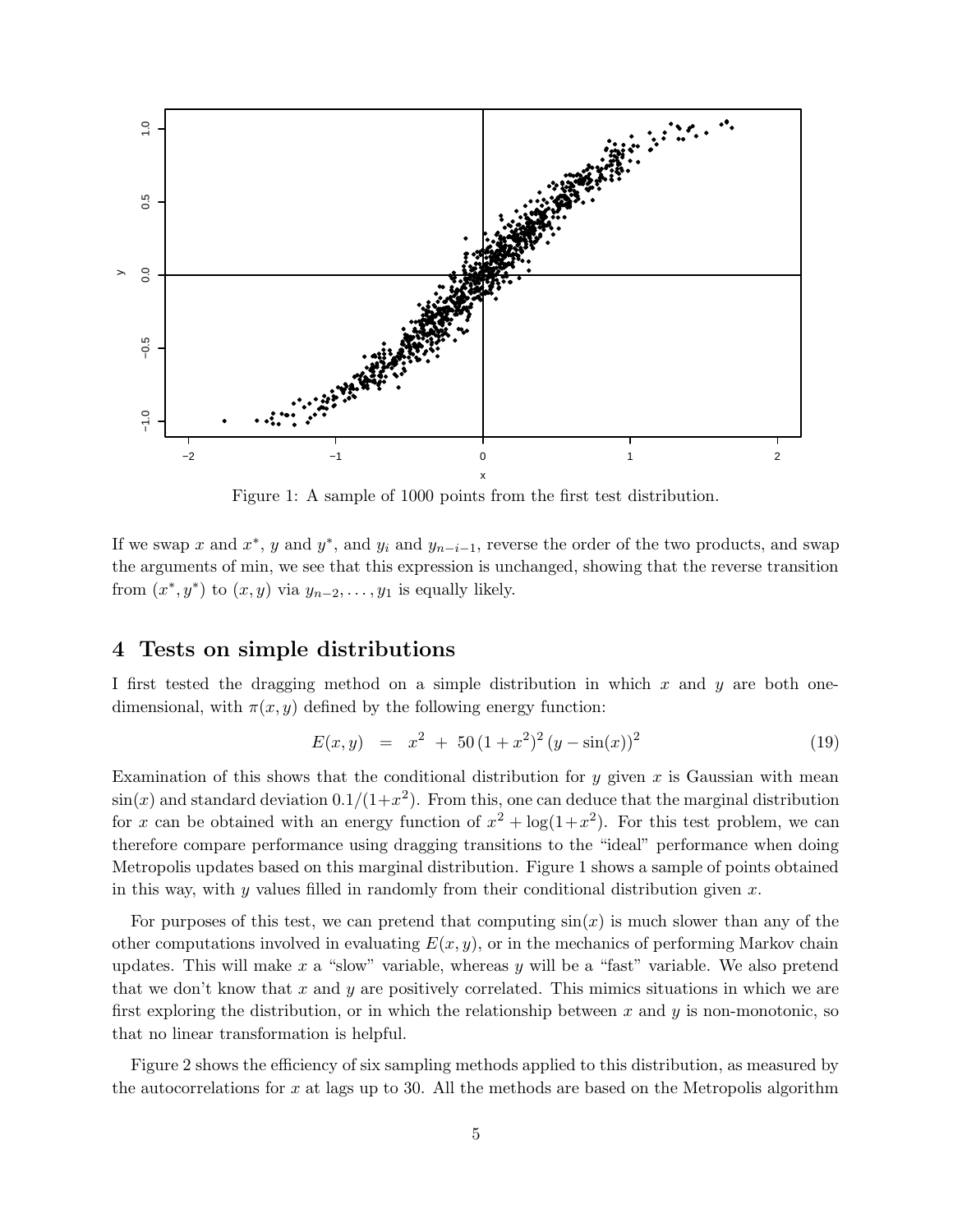

Figure 1: A sample of 1000 points from the first test distribution.

If we swap x and  $x^*$ , y and  $y^*$ , and  $y_i$  and  $y_{n-i-1}$ , reverse the order of the two products, and swap the arguments of min, we see that this expression is unchanged, showing that the reverse transition from  $(x^*, y^*)$  to  $(x, y)$  via  $y_{n-2}, \ldots, y_1$  is equally likely.

## 4 Tests on simple distributions

I first tested the dragging method on a simple distribution in which  $x$  and  $y$  are both onedimensional, with  $\pi(x, y)$  defined by the following energy function:

$$
E(x, y) = x2 + 50(1 + x2)2 (y - \sin(x))2
$$
 (19)

Examination of this shows that the conditional distribution for y given x is Gaussian with mean  $\sin(x)$  and standard deviation  $0.1/(1+x^2)$ . From this, one can deduce that the marginal distribution for x can be obtained with an energy function of  $x^2 + \log(1+x^2)$ . For this test problem, we can therefore compare performance using dragging transitions to the "ideal" performance when doing Metropolis updates based on this marginal distribution. Figure 1 shows a sample of points obtained in this way, with y values filled in randomly from their conditional distribution given  $x$ .

For purposes of this test, we can pretend that computing  $sin(x)$  is much slower than any of the other computations involved in evaluating  $E(x, y)$ , or in the mechanics of performing Markov chain updates. This will make x a "slow" variable, whereas y will be a "fast" variable. We also pretend that we don't know that x and y are positively correlated. This mimics situations in which we are first exploring the distribution, or in which the relationship between x and y is non-monotonic, so that no linear transformation is helpful.

Figure 2 shows the efficiency of six sampling methods applied to this distribution, as measured by the autocorrelations for x at lags up to 30. All the methods are based on the Metropolis algorithm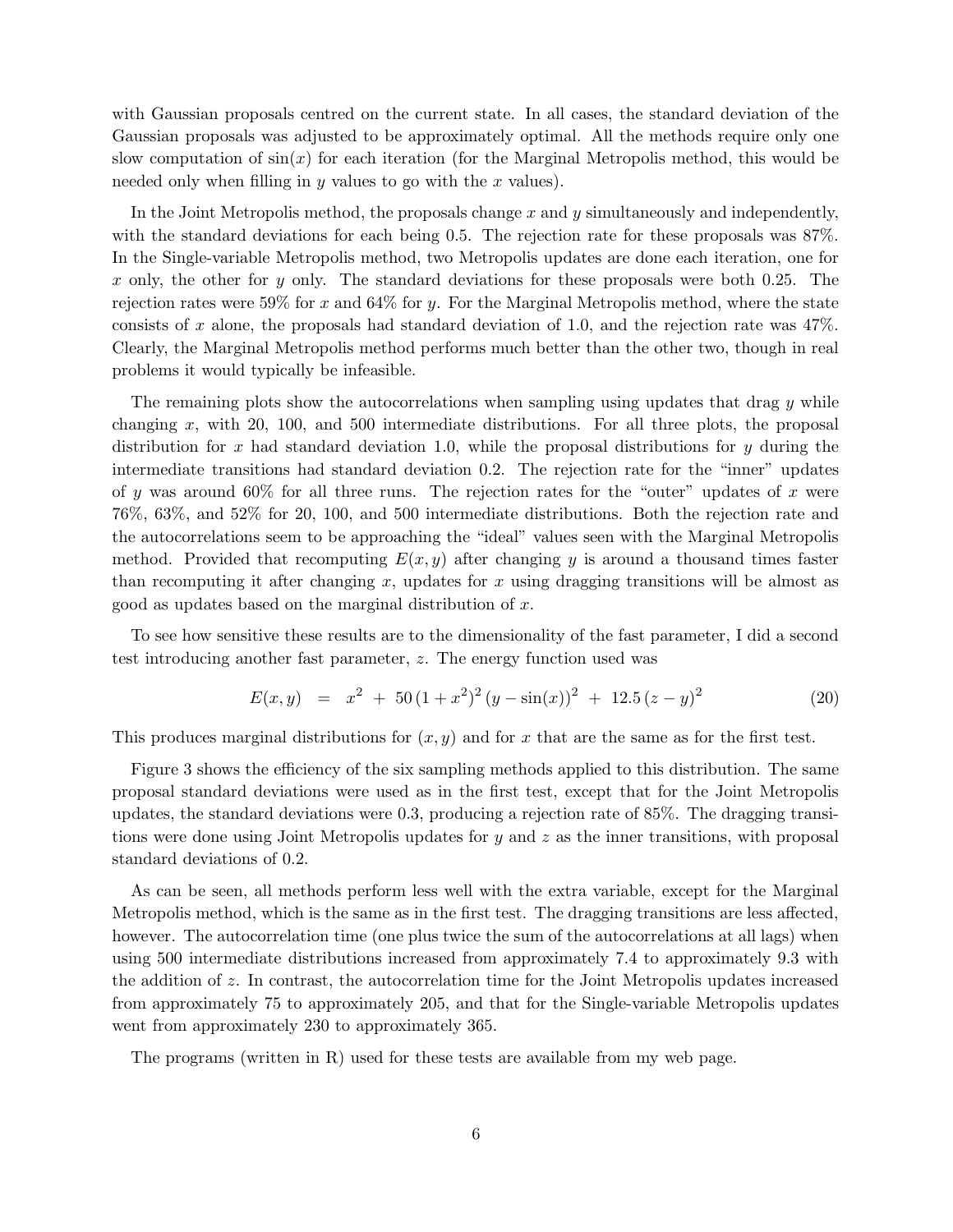with Gaussian proposals centred on the current state. In all cases, the standard deviation of the Gaussian proposals was adjusted to be approximately optimal. All the methods require only one slow computation of  $sin(x)$  for each iteration (for the Marginal Metropolis method, this would be needed only when filling in  $y$  values to go with the  $x$  values).

In the Joint Metropolis method, the proposals change  $x$  and  $y$  simultaneously and independently, with the standard deviations for each being 0.5. The rejection rate for these proposals was 87%. In the Single-variable Metropolis method, two Metropolis updates are done each iteration, one for x only, the other for y only. The standard deviations for these proposals were both 0.25. The rejection rates were 59% for x and 64% for y. For the Marginal Metropolis method, where the state consists of x alone, the proposals had standard deviation of 1.0, and the rejection rate was  $47\%$ . Clearly, the Marginal Metropolis method performs much better than the other two, though in real problems it would typically be infeasible.

The remaining plots show the autocorrelations when sampling using updates that drag  $y$  while changing x, with 20, 100, and 500 intermediate distributions. For all three plots, the proposal distribution for x had standard deviation 1.0, while the proposal distributions for y during the intermediate transitions had standard deviation 0.2. The rejection rate for the "inner" updates of y was around 60% for all three runs. The rejection rates for the "outer" updates of x were 76%, 63%, and 52% for 20, 100, and 500 intermediate distributions. Both the rejection rate and the autocorrelations seem to be approaching the "ideal" values seen with the Marginal Metropolis method. Provided that recomputing  $E(x, y)$  after changing y is around a thousand times faster than recomputing it after changing x, updates for x using dragging transitions will be almost as good as updates based on the marginal distribution of x.

To see how sensitive these results are to the dimensionality of the fast parameter, I did a second test introducing another fast parameter, z. The energy function used was

$$
E(x, y) = x2 + 50(1 + x2)2 (y - sin(x))2 + 12.5 (z - y)2
$$
 (20)

This produces marginal distributions for  $(x, y)$  and for x that are the same as for the first test.

Figure 3 shows the efficiency of the six sampling methods applied to this distribution. The same proposal standard deviations were used as in the first test, except that for the Joint Metropolis updates, the standard deviations were 0.3, producing a rejection rate of 85%. The dragging transitions were done using Joint Metropolis updates for  $y$  and  $z$  as the inner transitions, with proposal standard deviations of 0.2.

As can be seen, all methods perform less well with the extra variable, except for the Marginal Metropolis method, which is the same as in the first test. The dragging transitions are less affected, however. The autocorrelation time (one plus twice the sum of the autocorrelations at all lags) when using 500 intermediate distributions increased from approximately 7.4 to approximately 9.3 with the addition of z. In contrast, the autocorrelation time for the Joint Metropolis updates increased from approximately 75 to approximately 205, and that for the Single-variable Metropolis updates went from approximately 230 to approximately 365.

The programs (written in R) used for these tests are available from my web page.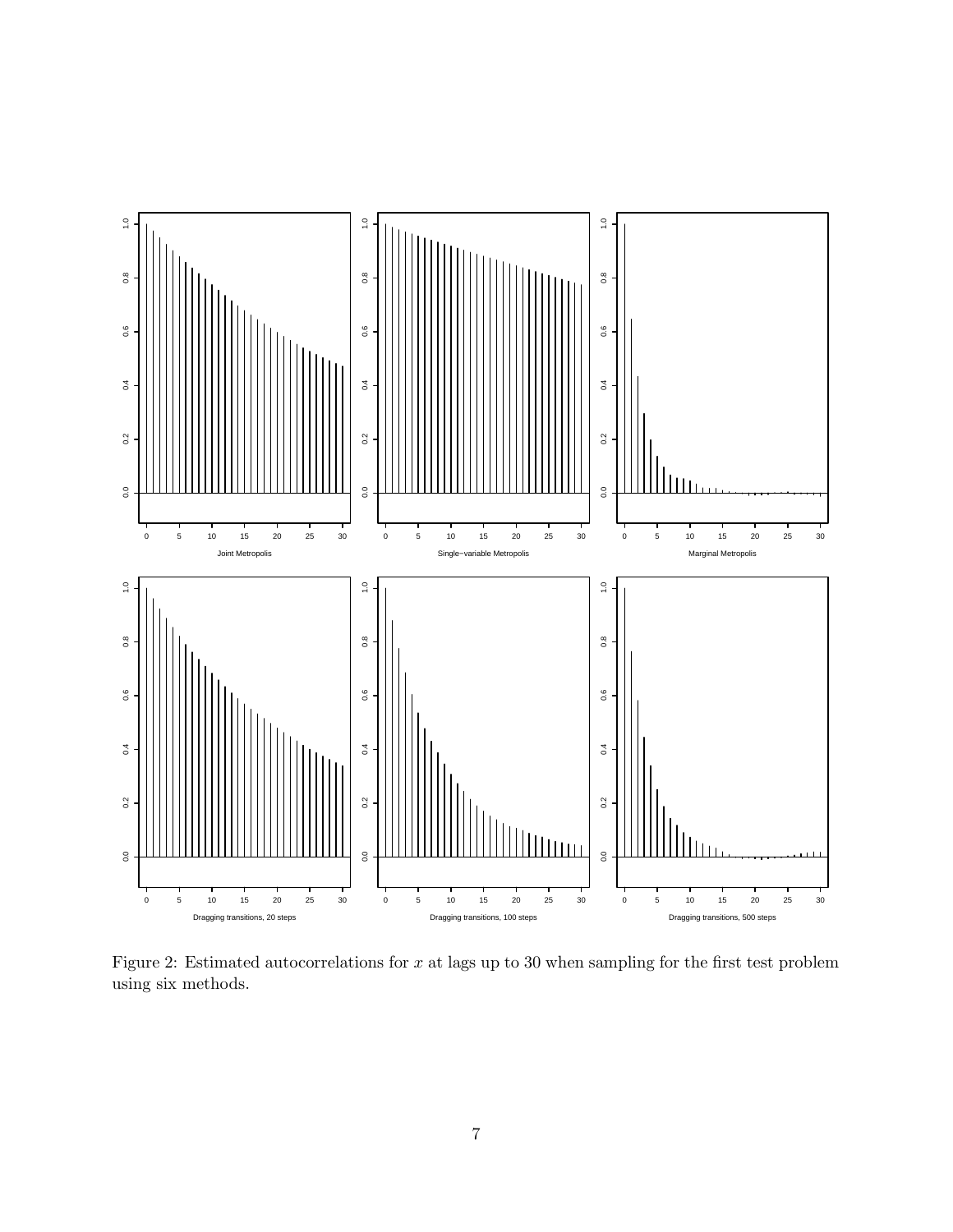

Figure 2: Estimated autocorrelations for  $x$  at lags up to 30 when sampling for the first test problem using six methods.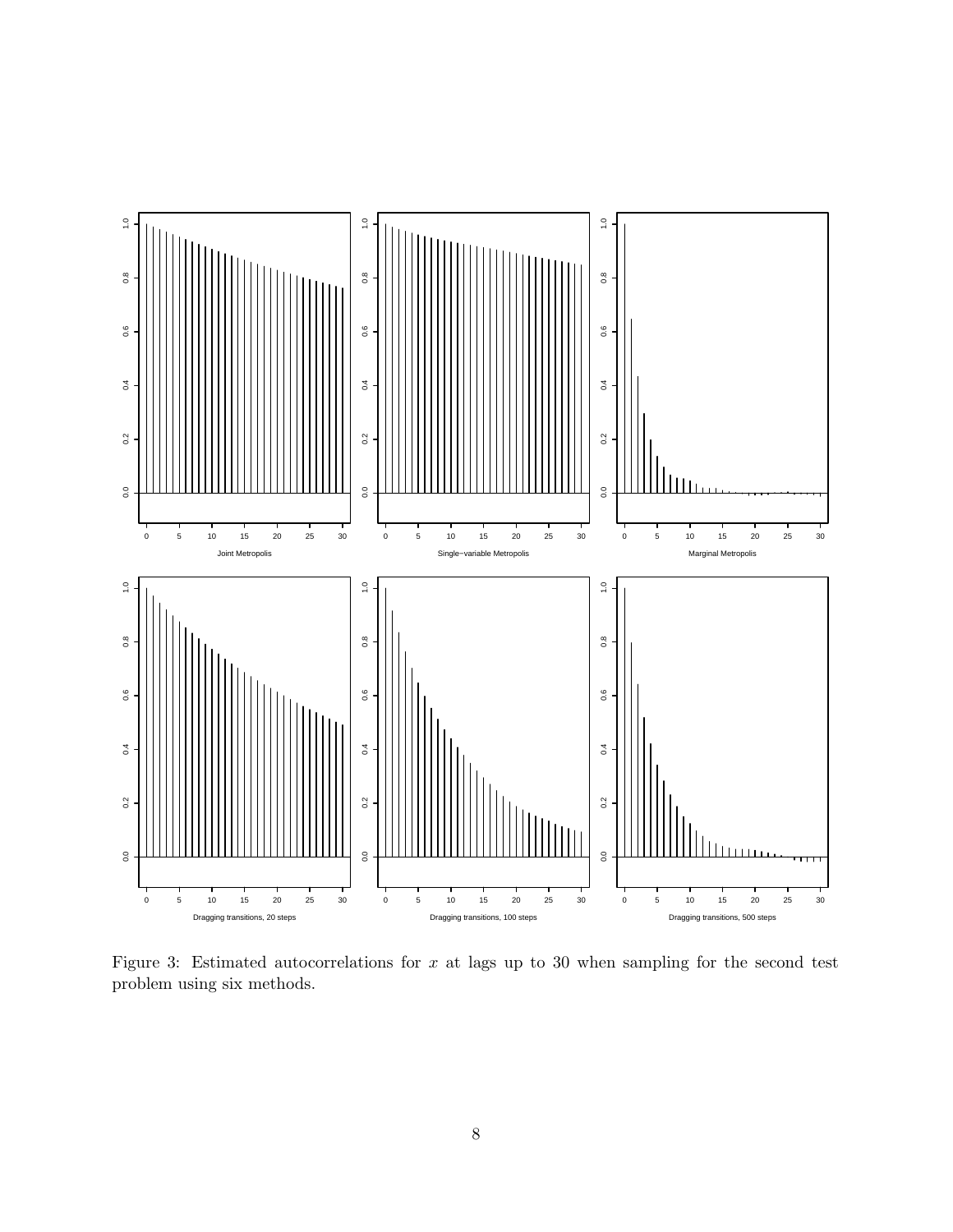

Figure 3: Estimated autocorrelations for  $x$  at lags up to 30 when sampling for the second test problem using six methods.